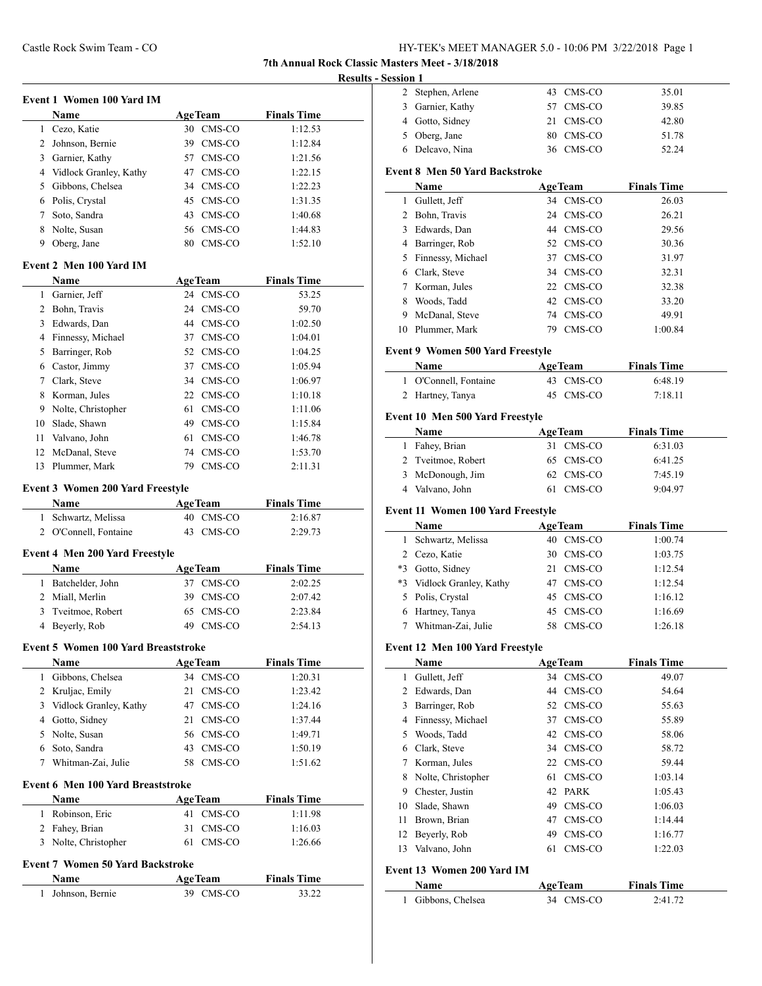**7th Annual Rock Classic Masters Meet - 3/18/2018**

# **Results - Session 1**

|              | <b>Event 1 Women 100 Yard IM</b>           |                |                    |
|--------------|--------------------------------------------|----------------|--------------------|
|              | Name                                       | <b>AgeTeam</b> | <b>Finals Time</b> |
|              | 1 Cezo, Katie                              | 30 CMS-CO      | 1:12.53            |
|              | 2 Johnson, Bernie                          | 39 CMS-CO      | 1:12.84            |
|              | 3 Garnier, Kathy                           | 57 CMS-CO      | 1:21.56            |
|              | 4 Vidlock Granley, Kathy                   | 47 CMS-CO      | 1:22.15            |
|              | 5 Gibbons, Chelsea                         | 34 CMS-CO      | 1:22.23            |
|              | 6 Polis, Crystal                           | 45 CMS-CO      | 1:31.35            |
|              | 7 Soto, Sandra                             | 43 CMS-CO      | 1:40.68            |
|              | 8 Nolte, Susan                             | 56 CMS-CO      | 1:44.83            |
|              | 9 Oberg, Jane                              | 80 CMS-CO      | 1:52.10            |
|              | Event 2 Men 100 Yard IM                    |                |                    |
|              | Name                                       | <b>AgeTeam</b> | <b>Finals Time</b> |
|              | 1 Garnier, Jeff                            | 24 CMS-CO      | 53.25              |
|              | 2 Bohn, Travis                             | 24 CMS-CO      | 59.70              |
|              | 3 Edwards, Dan                             | 44 CMS-CO      | 1:02.50            |
|              | 4 Finnessy, Michael                        | 37 CMS-CO      | 1:04.01            |
|              | 5 Barringer, Rob                           | 52 CMS-CO      | 1:04.25            |
|              | 6 Castor, Jimmy                            | 37 CMS-CO      | 1:05.94            |
|              | 7 Clark, Steve                             | 34 CMS-CO      | 1:06.97            |
|              | 8 Korman, Jules                            | 22 CMS-CO      | 1:10.18            |
|              | 9 Nolte, Christopher                       | 61 CMS-CO      | 1:11.06            |
|              | 10 Slade, Shawn                            | 49 CMS-CO      | 1:15.84            |
|              | 11 Valvano, John                           | 61 CMS-CO      | 1:46.78            |
|              | 12 McDanal, Steve                          | 74 CMS-CO      | 1:53.70            |
|              | 13 Plummer, Mark                           | 79 CMS-CO      | 2:11.31            |
|              |                                            |                |                    |
|              | <b>Event 3 Women 200 Yard Freestyle</b>    |                |                    |
|              | Name                                       | <b>AgeTeam</b> | <b>Finals Time</b> |
|              | 1 Schwartz, Melissa                        | 40 CMS-CO      | 2:16.87            |
|              | 2 O'Connell, Fontaine                      | 43 CMS-CO      | 2:29.73            |
|              | <b>Event 4 Men 200 Yard Freestyle</b>      |                |                    |
|              | Name                                       | AgeTeam        | <b>Finals Time</b> |
| 1            | Batchelder, John                           | 37 CMS-CO      | 2:02.25            |
|              | 2 Miall, Merlin                            | 39 CMS-CO      | 2:07.42            |
|              | 3 Tveitmoe, Robert                         | 65 CMS-CO      | 2:23.84            |
| 4            | Beyerly, Rob                               | 49 CMS-CO      | 2:54.13            |
|              | <b>Event 5 Women 100 Yard Breaststroke</b> |                |                    |
|              | Name                                       | <b>AgeTeam</b> | <b>Finals Time</b> |
| $\mathbf{1}$ | Gibbons, Chelsea                           | CMS-CO<br>34   | 1:20.31            |
|              | 2 Kruljac, Emily                           | 21<br>CMS-CO   | 1:23.42            |
|              | 3 Vidlock Granley, Kathy                   | 47 CMS-CO      | 1:24.16            |
|              | 4 Gotto, Sidney                            | 21<br>CMS-CO   | 1:37.44            |
|              | 5 Nolte, Susan                             | 56 CMS-CO      | 1:49.71            |
|              | 6 Soto, Sandra                             | CMS-CO<br>43   | 1:50.19            |
| 7            | Whitman-Zai, Julie                         | CMS-CO<br>58   | 1:51.62            |
|              |                                            |                |                    |
|              | Event 6 Men 100 Yard Breaststroke<br>Name  | <b>AgeTeam</b> | <b>Finals Time</b> |
| 1            | Robinson, Eric                             | CMS-CO<br>41   | 1:11.98            |
|              | 2 Fahey, Brian                             | 31<br>CMS-CO   | 1:16.03            |
|              | 3 Nolte, Christopher                       | 61<br>CMS-CO   | 1:26.66            |
|              |                                            |                |                    |
|              | <b>Event 7 Women 50 Yard Backstroke</b>    |                |                    |
|              | Name                                       | <b>AgeTeam</b> | <b>Finals Time</b> |
| 1            | Johnson, Bernie                            | CMS-CO<br>39   | 33.22              |
|              |                                            |                |                    |

| 991VII 1 |                   |           |       |
|----------|-------------------|-----------|-------|
|          | 2 Stephen, Arlene | 43 CMS-CO | 35.01 |
|          | 3 Garnier, Kathy  | 57 CMS-CO | 39.85 |
|          | 4 Gotto, Sidney   | 21 CMS-CO | 42.80 |
|          | 5 Oberg, Jane     | 80 CMS-CO | 51.78 |
|          | 6 Delcavo, Nina   | 36 CMS-CO | 52.24 |
|          |                   |           |       |

# **Event 8 Men 50 Yard Backstroke**

|    | Name                                    | <b>AgeTeam</b> | <b>Finals Time</b> |
|----|-----------------------------------------|----------------|--------------------|
| 1. | Gullett, Jeff                           | 34 CMS-CO      | 26.03              |
| 2  | Bohn, Travis                            | 24 CMS-CO      | 26.21              |
| 3  | Edwards, Dan                            | 44 CMS-CO      | 29.56              |
| 4  | Barringer, Rob                          | 52 CMS-CO      | 30.36              |
| 5  | Finnessy, Michael                       | 37 CMS-CO      | 31.97              |
| 6  | Clark, Steve                            | 34 CMS-CO      | 32.31              |
|    | Korman, Jules                           | 22 CMS-CO      | 32.38              |
| 8  | Woods, Tadd                             | 42 CMS-CO      | 33.20              |
| 9  | McDanal, Steve                          | 74 CMS-CO      | 49.91              |
| 10 | Plummer, Mark                           | CMS-CO<br>79.  | 1:00.84            |
|    | <b>Event 9 Women 500 Yard Freestyle</b> |                |                    |
|    | Name                                    | <b>AgeTeam</b> | <b>Finals Time</b> |

| <b>Name</b>           | Age leam  | <b>Finals</b> Time |  |
|-----------------------|-----------|--------------------|--|
| 1 O'Connell, Fontaine | 43 CMS-CO | 6:48.19            |  |
| 2 Hartney, Tanya      | 45 CMS-CO | 7:18.11            |  |

# **Event 10 Men 500 Yard Freestyle**

| Name               | <b>AgeTeam</b> |        | <b>Finals Time</b> |  |
|--------------------|----------------|--------|--------------------|--|
| 1 Fahey, Brian     | 31 CMS-CO      |        | 6:31.03            |  |
| 2 Tyeitmoe, Robert | 65 CMS-CO      |        | 6:41.25            |  |
| 3 McDonough, Jim   | 62 CMS-CO      |        | 7:45.19            |  |
| 4 Valvano, John    |                | CMS-CO | 9:04.97            |  |

# **Event 11 Women 100 Yard Freestyle**

|      | Name                      | <b>AgeTeam</b> | <b>Finals Time</b> |
|------|---------------------------|----------------|--------------------|
| 1.   | Schwartz, Melissa         | CMS-CO<br>40   | 1:00.74            |
|      | 2 Cezo, Katie             | CMS-CO<br>30   | 1:03.75            |
| $*3$ | Gotto, Sidney             | CMS-CO<br>21   | 1:12.54            |
|      | *3 Vidlock Granley, Kathy | CMS-CO<br>47   | 1:12.54            |
|      | 5 Polis, Crystal          | 45 CMS-CO      | 1:16.12            |
|      | 6 Hartney, Tanya          | 45 CMS-CO      | 1:16.69            |
|      | Whitman-Zai, Julie        | CMS-CO         | 1:26.18            |

### **Event 12 Men 100 Yard Freestyle**

|    | Name               | <b>AgeTeam</b> | <b>Finals Time</b> |
|----|--------------------|----------------|--------------------|
| 1  | Gullett, Jeff      | 34 CMS-CO      | 49.07              |
| 2  | Edwards, Dan       | CMS-CO<br>44   | 54.64              |
| 3  | Barringer, Rob     | 52 CMS-CO      | 55.63              |
| 4  | Finnessy, Michael  | 37 CMS-CO      | 55.89              |
| 5  | Woods, Tadd        | 42 CMS-CO      | 58.06              |
| 6  | Clark, Steve       | 34 CMS-CO      | 58.72              |
| 7  | Korman, Jules      | 22 CMS-CO      | 59.44              |
| 8  | Nolte, Christopher | CMS-CO<br>61   | 1:03.14            |
| 9  | Chester, Justin    | 42 PARK        | 1:05.43            |
| 10 | Slade, Shawn       | CMS-CO<br>49   | 1:06.03            |
| 11 | Brown, Brian       | CMS-CO<br>47   | 1:14.44            |
| 12 | Beyerly, Rob       | CMS-CO<br>49   | 1:16.77            |
| 13 | Valvano, John      | CMS-CO<br>61   | 1:22.03            |
|    |                    |                |                    |

# **Event 13 Women 200 Yard IM**

 $\overline{\phantom{a}}$ 

| <b>Name</b>        | <b>AgeTeam</b> | <b>Finals Time</b> |  |
|--------------------|----------------|--------------------|--|
| 1 Gibbons, Chelsea | 34 CMS-CO      | 2:41.72            |  |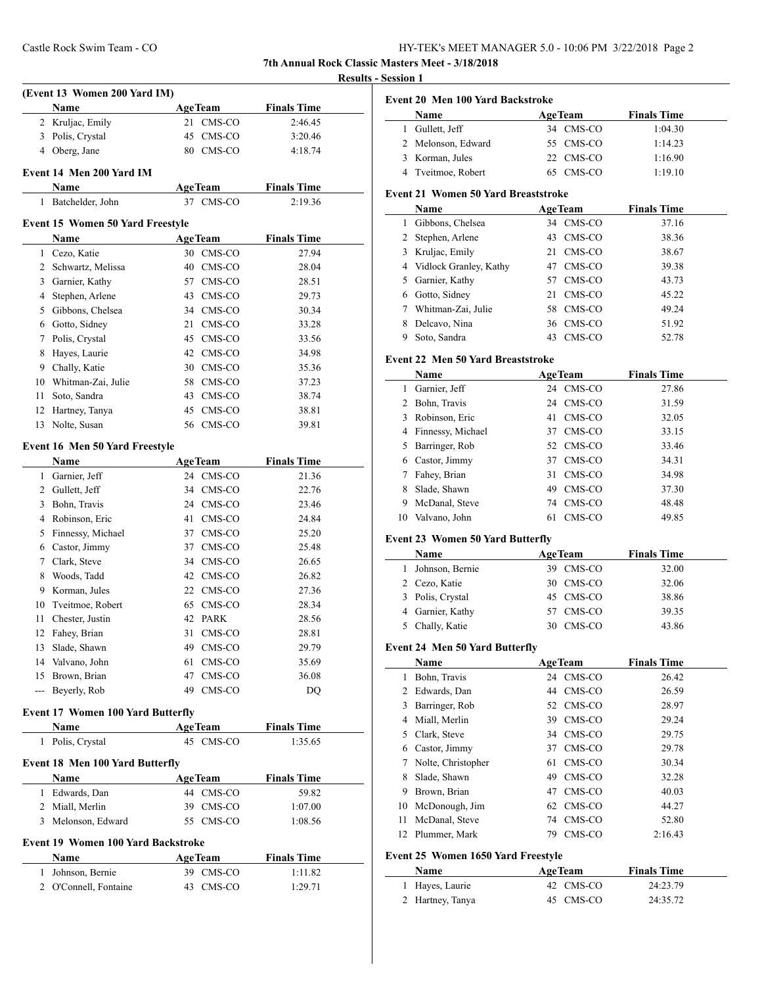**7th Annual Rock Classic Masters Meet - 3/18/2018**

 $\overline{\phantom{0}}$ 

### **Results - Session 1**

|      | (Event 13 Women 200 Yard IM)             |                             |                               |
|------|------------------------------------------|-----------------------------|-------------------------------|
|      | Name                                     | <b>AgeTeam</b>              | <b>Finals Time</b>            |
|      | 2 Kruljac, Emily                         | CMS-CO<br>21                | 2:46.45                       |
|      | 3 Polis, Crystal                         | 45 CMS-CO                   | 3:20.46                       |
|      | 4 Oberg, Jane                            | 80 CMS-CO                   | 4:18.74                       |
|      | Event 14 Men 200 Yard IM                 |                             |                               |
|      |                                          |                             |                               |
|      | Name<br>1 Batchelder, John               | <b>AgeTeam</b><br>37 CMS-CO | <b>Finals Time</b><br>2:19.36 |
|      |                                          |                             |                               |
|      | <b>Event 15 Women 50 Yard Freestyle</b>  |                             |                               |
|      | Name                                     | <b>AgeTeam</b>              | <b>Finals Time</b>            |
|      | 1 Cezo, Katie                            | 30 CMS-CO                   | 27.94                         |
|      | 2 Schwartz, Melissa                      | 40 CMS-CO                   | 28.04                         |
|      | 3 Garnier, Kathy                         | 57 CMS-CO                   | 28.51                         |
|      | 4 Stephen, Arlene                        | 43 CMS-CO                   | 29.73                         |
|      | 5 Gibbons, Chelsea                       | 34 CMS-CO                   | 30.34                         |
|      | 6 Gotto, Sidney                          | CMS-CO<br>21                | 33.28                         |
|      | 7 Polis, Crystal                         | 45 CMS-CO                   | 33.56                         |
|      | 8 Hayes, Laurie                          | 42 CMS-CO                   | 34.98                         |
|      | 9 Chally, Katie                          | 30 CMS-CO                   | 35.36                         |
|      | 10 Whitman-Zai, Julie                    | 58 CMS-CO                   | 37.23                         |
| 11 - | Soto, Sandra                             | 43 CMS-CO                   | 38.74                         |
|      | 12 Hartney, Tanya                        | 45 CMS-CO                   | 38.81                         |
|      | 13 Nolte, Susan                          | 56 CMS-CO                   | 39.81                         |
|      |                                          |                             |                               |
|      | Event 16 Men 50 Yard Freestyle           |                             |                               |
|      | Name                                     | <b>AgeTeam</b>              | <b>Finals Time</b>            |
|      | 1 Garnier, Jeff                          | 24 CMS-CO                   | 21.36                         |
|      | 2 Gullett, Jeff                          | 34 CMS-CO                   | 22.76                         |
|      | 3 Bohn, Travis                           | 24 CMS-CO                   | 23.46                         |
|      | 4 Robinson, Eric                         | CMS-CO<br>41                | 24.84                         |
|      | 5 Finnessy, Michael                      | 37 CMS-CO                   | 25.20                         |
|      | 6 Castor, Jimmy                          | 37 CMS-CO                   | 25.48                         |
|      | 7 Clark, Steve                           | 34 CMS-CO                   | 26.65                         |
|      | 8 Woods, Tadd                            | 42 CMS-CO                   | 26.82                         |
|      | 9 Korman, Jules                          | 22 CMS-CO                   | 27.36                         |
|      | 10 Tveitmoe, Robert                      | 65 CMS-CO                   | 28.34                         |
| 11 - | Chester, Justin                          | 42 PARK                     | 28.56                         |
|      | 12 Fahey, Brian                          | CMS-CO<br>31                | 28.81                         |
|      | 13 Slade, Shawn                          | 49<br>CMS-CO                | 29.79                         |
|      | 14 Valvano, John                         | 61<br>CMS-CO                | 35.69                         |
|      | 15 Brown, Brian                          | CMS-CO<br>47                | 36.08                         |
|      | --- Beverly, Rob                         | 49 CMS-CO                   | DQ                            |
|      | <b>Event 17 Women 100 Yard Butterfly</b> |                             |                               |
|      | Name                                     |                             | <b>Finals Time</b>            |
|      | 1 Polis, Crystal                         | <b>AgeTeam</b><br>45 CMS-CO | 1:35.65                       |
|      |                                          |                             |                               |
|      | Event 18 Men 100 Yard Butterfly          |                             |                               |
|      | Name                                     | <b>AgeTeam</b>              | <b>Finals Time</b>            |
|      | 1 Edwards, Dan                           | 44 CMS-CO                   | 59.82                         |
|      | 2 Miall, Merlin                          | 39 CMS-CO                   | 1:07.00                       |
|      | 3 Melonson, Edward                       | 55 CMS-CO                   | 1:08.56                       |
|      | Event 19 Women 100 Yard Backstroke       |                             |                               |
|      | Name                                     | <b>AgeTeam</b>              | <b>Finals Time</b>            |
|      | 1 Johnson, Bernie                        | 39 CMS-CO                   | 1:11.82                       |
|      | 2 O'Connell, Fontaine                    | 43 CMS-CO                   | 1:29.71                       |
|      |                                          |                             |                               |
|      |                                          |                             |                               |

|  |  | Event 20 Men 100 Yard Backstroke |
|--|--|----------------------------------|
|  |  |                                  |

| <b>Name</b>        | <b>AgeTeam</b> | <b>Finals Time</b> |
|--------------------|----------------|--------------------|
| 1 Gullett, Jeff    | 34 CMS-CO      | 1:04.30            |
| 2 Melonson, Edward | 55 CMS-CO      | 1:14.23            |
| 3 Korman, Jules    | 22 CMS-CO      | 1:16.90            |
| 4 Tveitmoe, Robert | 65 CMS-CO      | 1:19.10            |

#### **Event 21 Women 50 Yard Breaststroke**

|   | Name                     | <b>AgeTeam</b> | <b>Finals Time</b> |
|---|--------------------------|----------------|--------------------|
|   | Gibbons, Chelsea         | 34 CMS-CO      | 37.16              |
|   | 2 Stephen, Arlene        | CMS-CO<br>43   | 38.36              |
|   | 3 Kruljac, Emily         | CMS-CO<br>21   | 38.67              |
|   | 4 Vidlock Granley, Kathy | CMS-CO<br>47   | 39.38              |
|   | 5 Garnier, Kathy         | CMS-CO<br>57   | 43.73              |
| 6 | Gotto, Sidney            | CMS-CO<br>21   | 45.22              |
|   | Whitman-Zai, Julie       | CMS-CO<br>58   | 49.24              |
| 8 | Delcavo, Nina            | 36 CMS-CO      | 51.92              |
| 9 | Soto, Sandra             | CMS-CO<br>43   | 52.78              |

### **Event 22 Men 50 Yard Breaststroke**

|    | Name                | <b>AgeTeam</b> | <b>Finals Time</b> |
|----|---------------------|----------------|--------------------|
| 1  | Garnier, Jeff       | 24 CMS-CO      | 27.86              |
| 2  | Bohn, Travis        | 24 CMS-CO      | 31.59              |
| 3  | Robinson, Eric      | CMS-CO<br>41   | 32.05              |
|    | 4 Finnessy, Michael | CMS-CO<br>37   | 33.15              |
| 5. | Barringer, Rob      | 52 CMS-CO      | 33.46              |
| 6  | Castor, Jimmy       | CMS-CO<br>37   | 34.31              |
| 7  | Fahey, Brian        | CMS-CO<br>31   | 34.98              |
| 8  | Slade, Shawn        | CMS-CO<br>49   | 37.30              |
| 9  | McDanal, Steve      | CMS-CO<br>74   | 48.48              |
| 10 | Valvano, John       | CMS-CO<br>61   | 49.85              |

#### **Event 23 Women 50 Yard Butterfly**

| <b>Name</b>       | <b>AgeTeam</b> | <b>Finals Time</b> |  |
|-------------------|----------------|--------------------|--|
| 1 Johnson, Bernie | 39 CMS-CO      | 32.00              |  |
| 2 Cezo, Katie     | 30 CMS-CO      | 32.06              |  |
| 3 Polis, Crystal  | 45 CMS-CO      | 38.86              |  |
| 4 Garnier, Kathy  | 57 CMS-CO      | 39.35              |  |
| 5 Chally, Katie   | CMS-CO<br>30   | 43.86              |  |

#### **Event 24 Men 50 Yard Butterfly**

|    | Name               | <b>AgeTeam</b> | <b>Finals Time</b> |
|----|--------------------|----------------|--------------------|
| 1  | Bohn, Travis       | CMS-CO<br>24   | 26.42              |
| 2  | Edwards, Dan       | CMS-CO<br>44   | 26.59              |
| 3  | Barringer, Rob     | 52 CMS-CO      | 28.97              |
| 4  | Miall, Merlin      | CMS-CO<br>39   | 29.24              |
| 5. | Clark, Steve       | CMS-CO<br>34   | 29.75              |
| 6  | Castor, Jimmy      | CMS-CO<br>37   | 29.78              |
|    | Nolte, Christopher | CMS-CO<br>61   | 30.34              |
| 8  | Slade, Shawn       | CMS-CO<br>49   | 32.28              |
| 9  | Brown, Brian       | CMS-CO<br>47   | 40.03              |
| 10 | McDonough, Jim     | CMS-CO<br>62   | 44.27              |
| 11 | McDanal, Steve     | CMS-CO<br>74   | 52.80              |
| 12 | Plummer, Mark      | CMS-CO<br>79   | 2:16.43            |

# **Event 25 Women 1650 Yard Freestyle**

| <b>Name</b>      | <b>AgeTeam</b> | <b>Finals Time</b> |  |
|------------------|----------------|--------------------|--|
| 1 Hayes, Laurie  | 42 CMS-CO      | 24:23.79           |  |
| 2 Hartney, Tanya | 45 CMS-CO      | 24:35.72           |  |